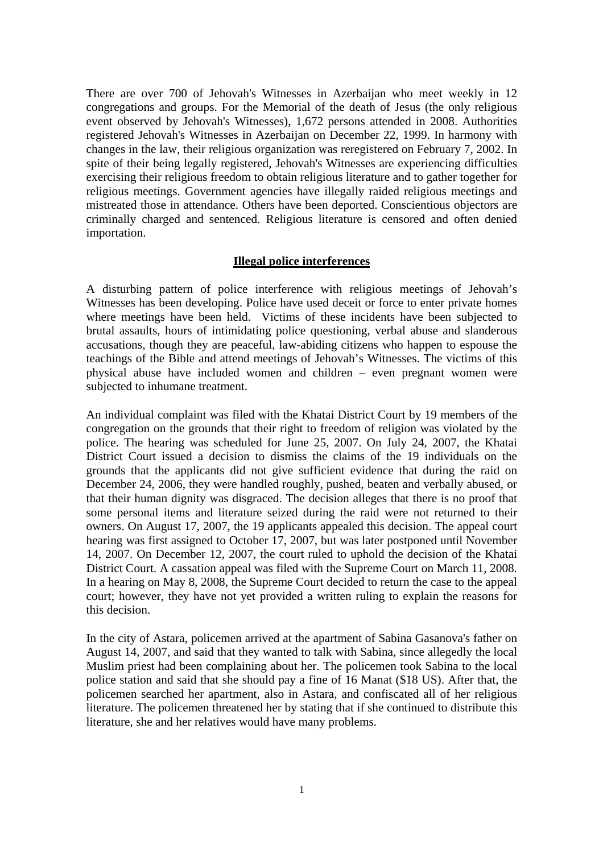There are over 700 of Jehovah's Witnesses in Azerbaijan who meet weekly in 12 congregations and groups. For the Memorial of the death of Jesus (the only religious event observed by Jehovah's Witnesses), 1,672 persons attended in 2008. Authorities registered Jehovah's Witnesses in Azerbaijan on December 22, 1999. In harmony with changes in the law, their religious organization was reregistered on February 7, 2002. In spite of their being legally registered, Jehovah's Witnesses are experiencing difficulties exercising their religious freedom to obtain religious literature and to gather together for religious meetings. Government agencies have illegally raided religious meetings and mistreated those in attendance. Others have been deported. Conscientious objectors are criminally charged and sentenced. Religious literature is censored and often denied importation.

## **Illegal police interferences**

A disturbing pattern of police interference with religious meetings of Jehovah's Witnesses has been developing. Police have used deceit or force to enter private homes where meetings have been held. Victims of these incidents have been subjected to brutal assaults, hours of intimidating police questioning, verbal abuse and slanderous accusations, though they are peaceful, law-abiding citizens who happen to espouse the teachings of the Bible and attend meetings of Jehovah's Witnesses. The victims of this physical abuse have included women and children – even pregnant women were subjected to inhumane treatment.

An individual complaint was filed with the Khatai District Court by 19 members of the congregation on the grounds that their right to freedom of religion was violated by the police. The hearing was scheduled for June 25, 2007. On July 24, 2007, the Khatai District Court issued a decision to dismiss the claims of the 19 individuals on the grounds that the applicants did not give sufficient evidence that during the raid on December 24, 2006, they were handled roughly, pushed, beaten and verbally abused, or that their human dignity was disgraced. The decision alleges that there is no proof that some personal items and literature seized during the raid were not returned to their owners. On August 17, 2007, the 19 applicants appealed this decision. The appeal court hearing was first assigned to October 17, 2007, but was later postponed until November 14, 2007. On December 12, 2007, the court ruled to uphold the decision of the Khatai District Court. A cassation appeal was filed with the Supreme Court on March 11, 2008. In a hearing on May 8, 2008, the Supreme Court decided to return the case to the appeal court; however, they have not yet provided a written ruling to explain the reasons for this decision.

In the city of Astara, policemen arrived at the apartment of Sabina Gasanova's father on August 14, 2007, and said that they wanted to talk with Sabina, since allegedly the local Muslim priest had been complaining about her. The policemen took Sabina to the local police station and said that she should pay a fine of 16 Manat (\$18 US). After that, the policemen searched her apartment, also in Astara, and confiscated all of her religious literature. The policemen threatened her by stating that if she continued to distribute this literature, she and her relatives would have many problems.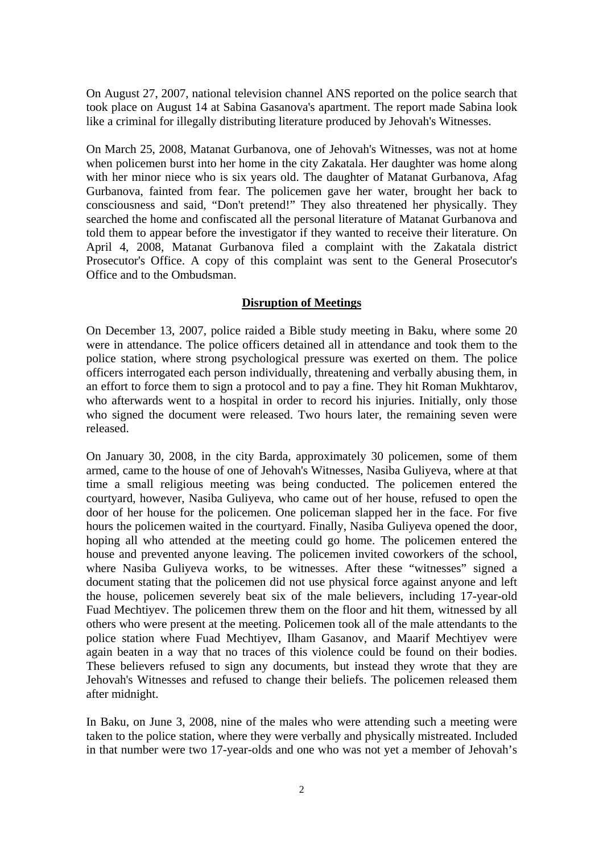On August 27, 2007, national television channel ANS reported on the police search that took place on August 14 at Sabina Gasanova's apartment. The report made Sabina look like a criminal for illegally distributing literature produced by Jehovah's Witnesses.

On March 25, 2008, Matanat Gurbanova, one of Jehovah's Witnesses, was not at home when policemen burst into her home in the city Zakatala. Her daughter was home along with her minor niece who is six years old. The daughter of Matanat Gurbanova, Afag Gurbanova, fainted from fear. The policemen gave her water, brought her back to consciousness and said, "Don't pretend!" They also threatened her physically. They searched the home and confiscated all the personal literature of Matanat Gurbanova and told them to appear before the investigator if they wanted to receive their literature. On April 4, 2008, Matanat Gurbanova filed a complaint with the Zakatala district Prosecutor's Office. A copy of this complaint was sent to the General Prosecutor's Office and to the Ombudsman.

## **Disruption of Meetings**

On December 13, 2007, police raided a Bible study meeting in Baku, where some 20 were in attendance. The police officers detained all in attendance and took them to the police station, where strong psychological pressure was exerted on them. The police officers interrogated each person individually, threatening and verbally abusing them, in an effort to force them to sign a protocol and to pay a fine. They hit Roman Mukhtarov, who afterwards went to a hospital in order to record his injuries. Initially, only those who signed the document were released. Two hours later, the remaining seven were released.

On January 30, 2008, in the city Barda, approximately 30 policemen, some of them armed, came to the house of one of Jehovah's Witnesses, Nasiba Guliyeva, where at that time a small religious meeting was being conducted. The policemen entered the courtyard, however, Nasiba Guliyeva, who came out of her house, refused to open the door of her house for the policemen. One policeman slapped her in the face. For five hours the policemen waited in the courtyard. Finally, Nasiba Guliyeva opened the door, hoping all who attended at the meeting could go home. The policemen entered the house and prevented anyone leaving. The policemen invited coworkers of the school, where Nasiba Guliyeva works, to be witnesses. After these "witnesses" signed a document stating that the policemen did not use physical force against anyone and left the house, policemen severely beat six of the male believers, including 17-year-old Fuad Mechtiyev. The policemen threw them on the floor and hit them, witnessed by all others who were present at the meeting. Policemen took all of the male attendants to the police station where Fuad Mechtiyev, Ilham Gasanov, and Maarif Mechtiyev were again beaten in a way that no traces of this violence could be found on their bodies. These believers refused to sign any documents, but instead they wrote that they are Jehovah's Witnesses and refused to change their beliefs. The policemen released them after midnight.

In Baku, on June 3, 2008, nine of the males who were attending such a meeting were taken to the police station, where they were verbally and physically mistreated. Included in that number were two 17-year-olds and one who was not yet a member of Jehovah's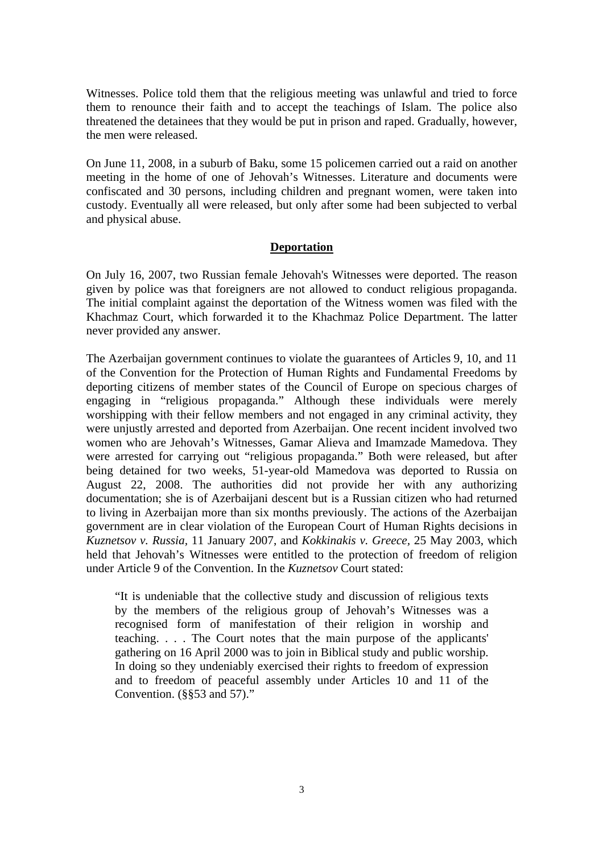Witnesses. Police told them that the religious meeting was unlawful and tried to force them to renounce their faith and to accept the teachings of Islam. The police also threatened the detainees that they would be put in prison and raped. Gradually, however, the men were released.

On June 11, 2008, in a suburb of Baku, some 15 policemen carried out a raid on another meeting in the home of one of Jehovah's Witnesses. Literature and documents were confiscated and 30 persons, including children and pregnant women, were taken into custody. Eventually all were released, but only after some had been subjected to verbal and physical abuse.

## **Deportation**

On July 16, 2007, two Russian female Jehovah's Witnesses were deported. The reason given by police was that foreigners are not allowed to conduct religious propaganda. The initial complaint against the deportation of the Witness women was filed with the Khachmaz Court, which forwarded it to the Khachmaz Police Department. The latter never provided any answer.

The Azerbaijan government continues to violate the guarantees of Articles 9, 10, and 11 of the Convention for the Protection of Human Rights and Fundamental Freedoms by deporting citizens of member states of the Council of Europe on specious charges of engaging in "religious propaganda." Although these individuals were merely worshipping with their fellow members and not engaged in any criminal activity, they were unjustly arrested and deported from Azerbaijan. One recent incident involved two women who are Jehovah's Witnesses, Gamar Alieva and Imamzade Mamedova. They were arrested for carrying out "religious propaganda." Both were released, but after being detained for two weeks, 51-year-old Mamedova was deported to Russia on August 22, 2008. The authorities did not provide her with any authorizing documentation; she is of Azerbaijani descent but is a Russian citizen who had returned to living in Azerbaijan more than six months previously. The actions of the Azerbaijan government are in clear violation of the European Court of Human Rights decisions in *Kuznetsov v. Russia,* 11 January 2007, and *Kokkinakis v. Greece,* 25 May 2003, which held that Jehovah's Witnesses were entitled to the protection of freedom of religion under Article 9 of the Convention. In the *Kuznetsov* Court stated:

"It is undeniable that the collective study and discussion of religious texts by the members of the religious group of Jehovah's Witnesses was a recognised form of manifestation of their religion in worship and teaching. . . . The Court notes that the main purpose of the applicants' gathering on 16 April 2000 was to join in Biblical study and public worship. In doing so they undeniably exercised their rights to freedom of expression and to freedom of peaceful assembly under Articles 10 and 11 of the Convention. (§§53 and 57)."